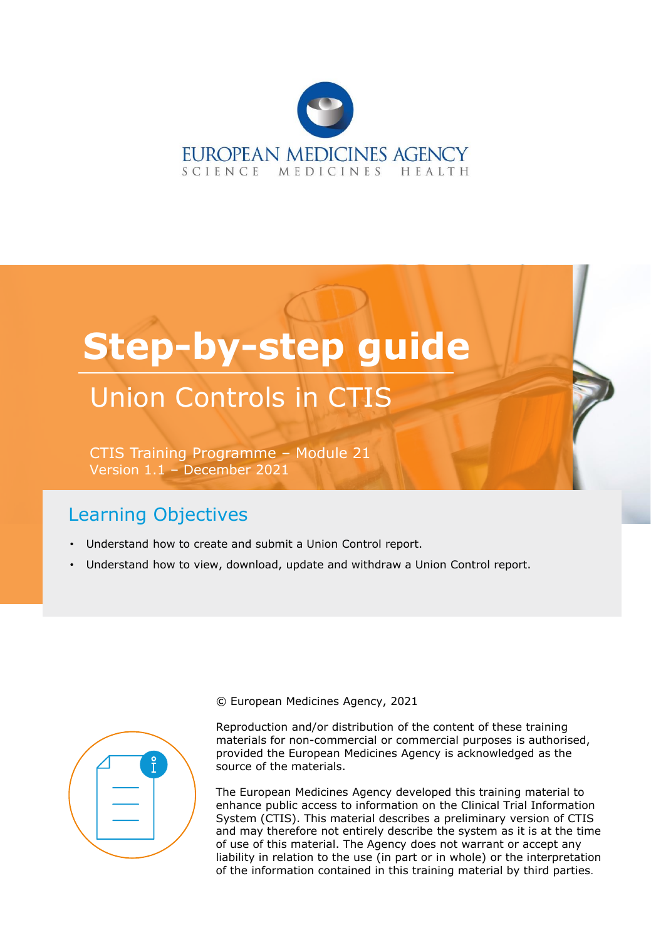

# **Step-by-step guide**

# Union Controls in CTIS

CTIS Training Programme – Module 21 Version 1.1 – December 2021

# Learning Objectives

- Understand how to create and submit a Union Control report.
- Understand how to view, download, update and withdraw a Union Control report.



© European Medicines Agency, 2021

Reproduction and/or distribution of the content of these training materials for non-commercial or commercial purposes is authorised, provided the European Medicines Agency is acknowledged as the source of the materials.

The European Medicines Agency developed this training material to enhance public access to information on the Clinical Trial Information System (CTIS). This material describes a preliminary version of CTIS and may therefore not entirely describe the system as it is at the time of use of this material. The Agency does not warrant or accept any liability in relation to the use (in part or in whole) or the interpretation of the information contained in this training material by third parties.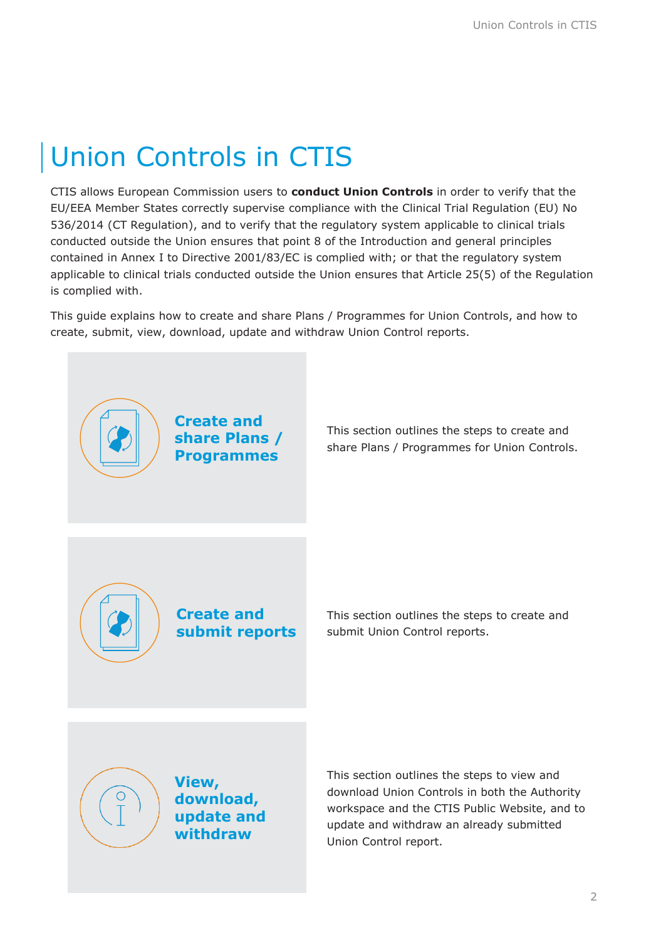# Union Controls in CTIS

CTIS allows European Commission users to **conduct Union Controls** in order to verify that the EU/EEA Member States correctly supervise compliance with the Clinical Trial Regulation (EU) No 536/2014 (CT Regulation), and to verify that the regulatory system applicable to clinical trials conducted outside the Union ensures that point 8 of the Introduction and general principles contained in Annex I to Directive 2001/83/EC is complied with; or that the regulatory system applicable to clinical trials conducted outside the Union ensures that Article 25(5) of the Regulation is complied with.

This guide explains how to create and share Plans / Programmes for Union Controls, and how to create, submit, view, download, update and withdraw Union Control reports.



This section outlines the steps to create and share Plans / Programmes for Union Controls.



**Create and submit reports** This section outlines the steps to create and submit Union Control reports.



**View, download, update and withdraw**

This section outlines the steps to view and download Union Controls in both the Authority workspace and the CTIS Public Website, and to update and withdraw an already submitted Union Control report.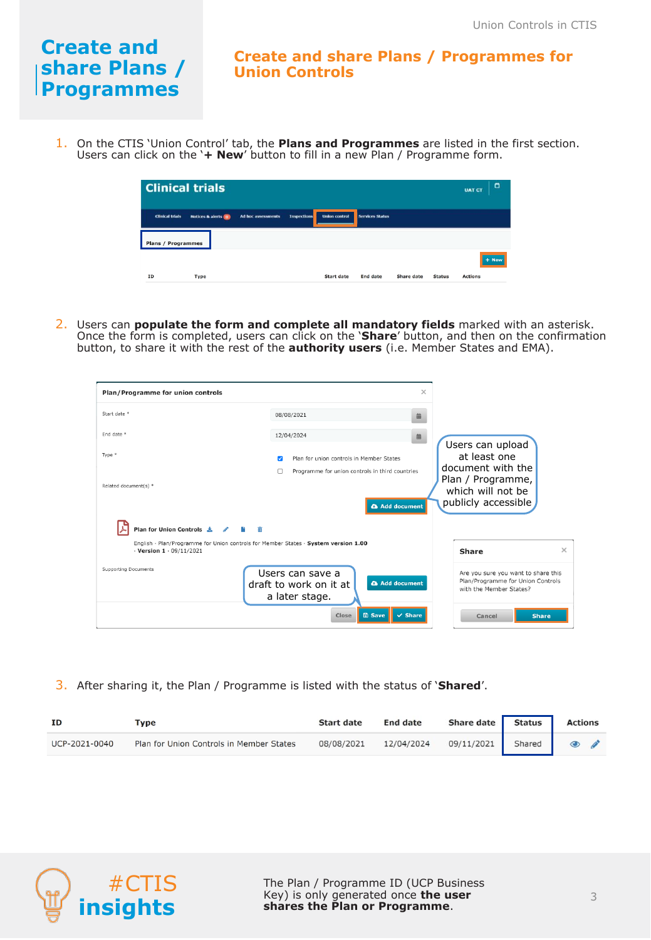# **Create and share Plans / Programmes**

#### **Create and share Plans / Programmes for Union Controls**

1. On the CTIS 'Union Control' tab, the **Plans and Programmes** are listed in the first section. Users can click on the '**+ New**' button to fill in a new Plan / Programme form.

| <b>Clinical trials</b>    |                                 |                           |                    |                      |                        |                   | $\Box$<br><b>UAT CT</b> |                |
|---------------------------|---------------------------------|---------------------------|--------------------|----------------------|------------------------|-------------------|-------------------------|----------------|
| <b>Clinical trials</b>    | <b>Notices &amp; alerts (0)</b> | <b>Ad hoc assessments</b> | <b>Inspections</b> | <b>Union control</b> | <b>Services Status</b> |                   |                         |                |
| <b>Plans / Programmes</b> |                                 |                           |                    |                      |                        |                   |                         |                |
|                           |                                 |                           |                    |                      |                        |                   |                         | $+$ New        |
| ID                        | Type                            |                           |                    | <b>Start date</b>    | <b>End date</b>        | <b>Share date</b> | <b>Status</b>           | <b>Actions</b> |

2. Users can **populate the form and complete all mandatory fields** marked with an asterisk. Once the form is completed, users can click on the '**Share**' button, and then on the confirmation button, to share it with the rest of the **authority users** (i.e. Member States and EMA).

| Plan/Programme for union controls                                                                                           | $\times$                                                                                                    |                                                                                                                        |
|-----------------------------------------------------------------------------------------------------------------------------|-------------------------------------------------------------------------------------------------------------|------------------------------------------------------------------------------------------------------------------------|
| Start date *                                                                                                                | 08/08/2021<br>曲                                                                                             |                                                                                                                        |
| End date *                                                                                                                  | 12/04/2024<br>曲                                                                                             |                                                                                                                        |
| Type *<br>Related document(s) *                                                                                             | Plan for union controls in Member States<br>Programme for union controls in third countries<br>Add document | Users can upload<br>at least one<br>document with the<br>Plan / Programme,<br>which will not be<br>publicly accessible |
| Plan for Union Controls ₺ /                                                                                                 |                                                                                                             |                                                                                                                        |
| English · Plan/Programme for Union controls for Member States · System version 1.00<br>$\cdot$ Version 1 $\cdot$ 09/11/2021 |                                                                                                             | $\times$<br><b>Share</b>                                                                                               |
| Supporting Documents                                                                                                        | Users can save a<br><b>a</b> Add document<br>draft to work on it at<br>a later stage.                       | Are you sure you want to share this<br>Plan/Programme for Union Controls<br>with the Member States?                    |
|                                                                                                                             | <b>圖 Save</b><br>$\checkmark$ Share<br>Close                                                                | <b>Share</b><br>Cancel                                                                                                 |

3. After sharing it, the Plan / Programme is listed with the status of '**Shared**'.

| ΙD            | $T$ vpe                                  | <b>Start date</b> | <b>End date</b> | Share date                 | <b>Status</b> | <b>Actions</b> |
|---------------|------------------------------------------|-------------------|-----------------|----------------------------|---------------|----------------|
| UCP-2021-0040 | Plan for Union Controls in Member States | 08/08/2021        | 12/04/2024      | 09/11/2021 Shared <b>@</b> |               |                |

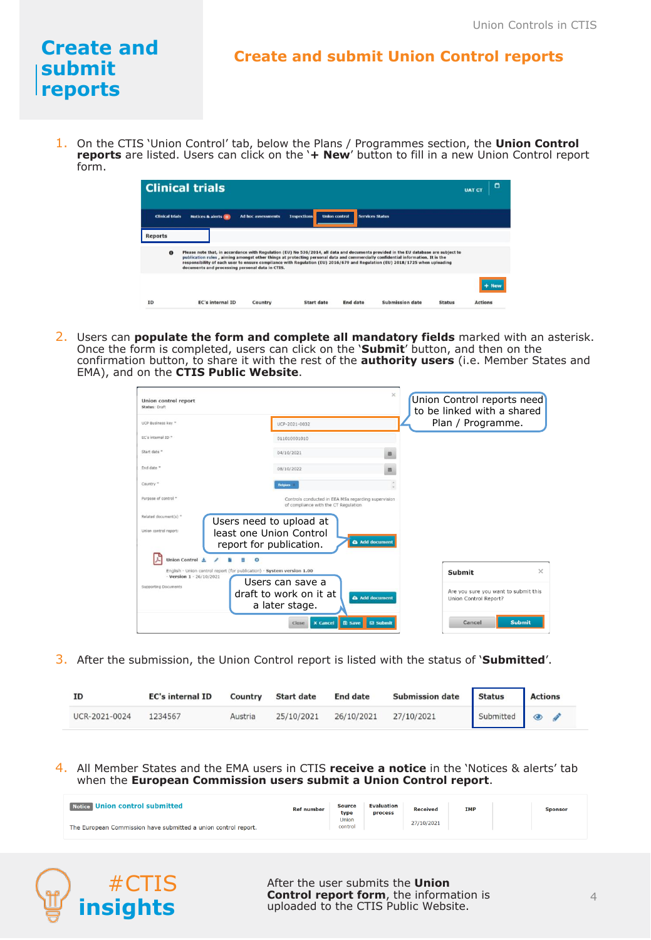## **Create and submit reports**

#### **Create and submit Union Control reports**

1. On the CTIS 'Union Control' tab, below the Plans / Programmes section, the **Union Control reports** are listed. Users can click on the '**+ New**' button to fill in a new Union Control report form.

|                        | <b>Clinical trials</b>                                                                                                                                                                                                                                                                                                                                                                                                                                   |                           |                                            |                 |                        |               | <b>UAT CT</b>  | Ö |
|------------------------|----------------------------------------------------------------------------------------------------------------------------------------------------------------------------------------------------------------------------------------------------------------------------------------------------------------------------------------------------------------------------------------------------------------------------------------------------------|---------------------------|--------------------------------------------|-----------------|------------------------|---------------|----------------|---|
| <b>Clinical trials</b> | <b>Notices &amp; alerts (B)</b>                                                                                                                                                                                                                                                                                                                                                                                                                          | <b>Ad hoc assessments</b> | <b>Inspections</b><br><b>Union control</b> |                 | <b>Services Status</b> |               |                |   |
| <b>Reports</b>         |                                                                                                                                                                                                                                                                                                                                                                                                                                                          |                           |                                            |                 |                        |               |                |   |
| $\bullet$              | Please note that, in accordance with Regulation (EU) No 536/2014, all data and documents provided in the EU database are subject to<br>publication rules, aiming amongst other things at protecting personal data and commercially confidential information. It is the<br>responsibility of each user to ensure compliance with Regulation (EU) 2016/679 and Regulation (EU) 2018/1725 when uploading<br>documents and processing personal data in CTIS. |                           |                                            |                 |                        |               |                |   |
|                        |                                                                                                                                                                                                                                                                                                                                                                                                                                                          |                           |                                            |                 |                        |               |                |   |
| <b>TD</b>              | <b>EC's internal ID</b>                                                                                                                                                                                                                                                                                                                                                                                                                                  | Country                   | Start date                                 | <b>End date</b> | Submission date        | <b>Status</b> | <b>Actions</b> |   |

2. Users can **populate the form and complete all mandatory fields** marked with an asterisk. Once the form is completed, users can click on the '**Submit**' button, and then on the confirmation button, to share it with the rest of the **authority users** (i.e. Member States and EMA), and on the **CTIS Public Website**.

| <b>Union control report</b><br>Status: Draft                                                                                  |                                                                                                                                                                              | $\times$                         | Union Control reports need<br>to be linked with a shared      |               |
|-------------------------------------------------------------------------------------------------------------------------------|------------------------------------------------------------------------------------------------------------------------------------------------------------------------------|----------------------------------|---------------------------------------------------------------|---------------|
| UCP Business key "                                                                                                            | UCP-2021-0032                                                                                                                                                                |                                  | Plan / Programme.                                             |               |
| EC's internal ID *                                                                                                            | 011010001010                                                                                                                                                                 |                                  |                                                               |               |
| Start date "                                                                                                                  | 04/10/2021                                                                                                                                                                   | 癌                                |                                                               |               |
| End date "                                                                                                                    | 08/10/2022                                                                                                                                                                   | 蒜                                |                                                               |               |
| Country *                                                                                                                     | <b>Beigum</b>                                                                                                                                                                |                                  |                                                               |               |
| Purpose of control =<br>Related document(s) *<br>Union control report:                                                        | Controls conducted in EEA MSs regarding supervision<br>of compliance with the CT Regulation<br>Users need to upload at<br>least one Union Control<br>report for publication. | A Add document                   |                                                               |               |
| Union Control 4<br>English - Union control report (for publication) - System version 1.00<br>$-$ Version $1 \cdot 26/10/2021$ | $\bullet$<br>Users can save a                                                                                                                                                |                                  | Submit                                                        | $\times$      |
| Supporting Documents                                                                                                          | draft to work on it at<br>a later stage.                                                                                                                                     | <b>&amp;</b> Add document        | Are you sure you want to submit this<br>Union Control Report? |               |
|                                                                                                                               | <b>x</b> Cancel<br>Close                                                                                                                                                     | <b>图 Save</b><br><b>⊠</b> Submit | Cancel                                                        | <b>Submit</b> |

3. After the submission, the Union Control report is listed with the status of '**Submitted**'.

| ID            | <b>EC's internal ID</b> | Country | <b>Start date</b> | <b>End date</b> | <b>Submission date</b> | <b>Status</b> | <b>Actions</b>     |
|---------------|-------------------------|---------|-------------------|-----------------|------------------------|---------------|--------------------|
| UCR-2021-0024 | 1234567                 | Austria | 25/10/2021        | 26/10/2021      | 27/10/2021             |               | Submitted <b>@</b> |

4. All Member States and the EMA users in CTIS **receive a notice** in the 'Notices & alerts' tab when the **European Commission users submit a Union Control report**.

| Notice Union control submitted                                 | <b>Ref number</b> | <b>Source</b><br>type | <b>Evaluation</b><br>process | <b>Received</b> | <b>IMP</b> | <b>Sponsor</b> |
|----------------------------------------------------------------|-------------------|-----------------------|------------------------------|-----------------|------------|----------------|
| The European Commission have submitted a union control report. |                   | Union<br>control      |                              | 27/10/2021      |            |                |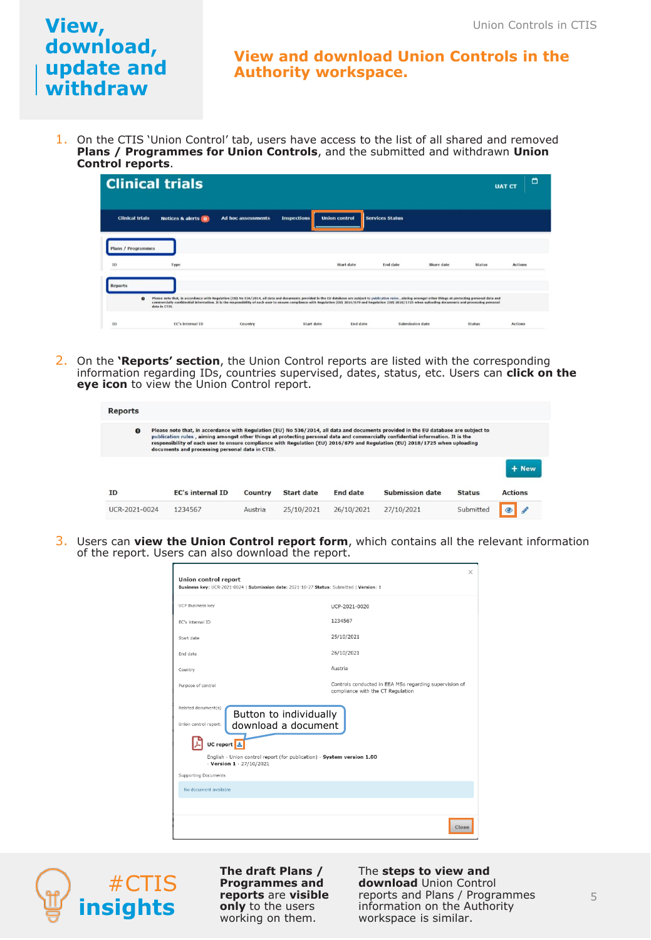#### **View and download Union Controls in the Authority workspace.**

1. On the CTIS 'Union Control' tab, users have access to the list of all shared and removed **Plans / Programmes for Union Controls**, and the submitted and withdrawn **Union Control reports**.

|                           | <b>Clinical trials</b>                                                                                                                                                                                                                                                                                                                                                                                                                                |                           |                    |                      |                        |            |               | Ö<br><b>UAT CT</b> |
|---------------------------|-------------------------------------------------------------------------------------------------------------------------------------------------------------------------------------------------------------------------------------------------------------------------------------------------------------------------------------------------------------------------------------------------------------------------------------------------------|---------------------------|--------------------|----------------------|------------------------|------------|---------------|--------------------|
| <b>Clinical trials</b>    | <b>Notices &amp; alerts (0)</b>                                                                                                                                                                                                                                                                                                                                                                                                                       | <b>Ad hoc assessments</b> | <b>Inspections</b> | <b>Union control</b> | <b>Services Status</b> |            |               |                    |
| <b>Plans / Programmes</b> |                                                                                                                                                                                                                                                                                                                                                                                                                                                       |                           |                    |                      |                        |            |               |                    |
| 10<br><b>Reports</b>      | Type                                                                                                                                                                                                                                                                                                                                                                                                                                                  |                           |                    | Start date           | End date               | Share date | <b>Status</b> | <b>Actions</b>     |
| $\bf{o}$                  | Please note that, in accordance with Regulation (EU) No 536/2014, all data and documents provided in the EU database are subject to publication rules, alming amongst other things at protecting personal data and<br>commercially confidential information. It is the responsibility of each user to ensure compliance with Regulation (EU) 2016/679 and Regulation (EU) 2018/1725 when uploading documents and processing personal<br>data in CTIS. |                           |                    |                      |                        |            |               |                    |
| 10                        | <b>EC's internal ID</b>                                                                                                                                                                                                                                                                                                                                                                                                                               | Country                   | Start date         | <b>End</b> date      | Submission date        |            | Status        | <b>Actions</b>     |

2. On the **'Reports' section**, the Union Control reports are listed with the corresponding information regarding IDs, countries supervised, dates, status, etc. Users can **click on the eye icon** to view the Union Control report.

| <b>Reports</b> |                                                 |         |                   |                 |                                                                                                                                                                                                                                                                                                                                                                                                       |               |                |
|----------------|-------------------------------------------------|---------|-------------------|-----------------|-------------------------------------------------------------------------------------------------------------------------------------------------------------------------------------------------------------------------------------------------------------------------------------------------------------------------------------------------------------------------------------------------------|---------------|----------------|
| $\mathbf{o}$   | documents and processing personal data in CTIS. |         |                   |                 | Please note that, in accordance with Regulation (EU) No 536/2014, all data and documents provided in the EU database are subject to<br>publication rules, aiming amongst other things at protecting personal data and commercially confidential information. It is the<br>responsibility of each user to ensure compliance with Regulation (EU) 2016/679 and Regulation (EU) 2018/1725 when uploading |               |                |
|                |                                                 |         |                   |                 |                                                                                                                                                                                                                                                                                                                                                                                                       |               | + New          |
| ID             | <b>EC's internal ID</b>                         | Country | <b>Start date</b> | <b>End date</b> | <b>Submission date</b>                                                                                                                                                                                                                                                                                                                                                                                | <b>Status</b> | <b>Actions</b> |
| UCR-2021-0024  | 1234567                                         | Austria | 25/10/2021        | 26/10/2021      | 27/10/2021                                                                                                                                                                                                                                                                                                                                                                                            | Suhmitted     |                |

3. Users can **view the Union Control report form**, which contains all the relevant information of the report. Users can also download the report.

| <b>Union control report</b>                                                                                    | $\times$                                                                                    |
|----------------------------------------------------------------------------------------------------------------|---------------------------------------------------------------------------------------------|
| Business key: UCR-2021-0024   Submission date: 2021-10-27 Status: Submitted   Version: 1                       |                                                                                             |
| <b>UCP Business key</b>                                                                                        | UCP-2021-0020                                                                               |
| EC's internal ID                                                                                               | 1234567                                                                                     |
| Start date                                                                                                     | 25/10/2021                                                                                  |
| Fnd date                                                                                                       | 26/10/2021                                                                                  |
| Country                                                                                                        | Austria                                                                                     |
| Purpose of control                                                                                             | Controls conducted in EEA MSs regarding supervision of<br>compliance with the CT Regulation |
| Related document(s)<br>Button to individually<br>Union control report:<br>download a document                  |                                                                                             |
| UC report $\left  \frac{1}{2} \right $                                                                         |                                                                                             |
| English - Union control report (for publication) - System version 1.00<br>$\cdot$ Version 1 $\cdot$ 27/10/2021 |                                                                                             |
| <b>Supporting Documents</b>                                                                                    |                                                                                             |
| No document available                                                                                          |                                                                                             |
|                                                                                                                |                                                                                             |
|                                                                                                                | Close                                                                                       |



**The draft Plans / Programmes and reports** are **visible only** to the users working on them.

The **steps to view and download** Union Control reports and Plans / Programmes information on the Authority workspace is similar.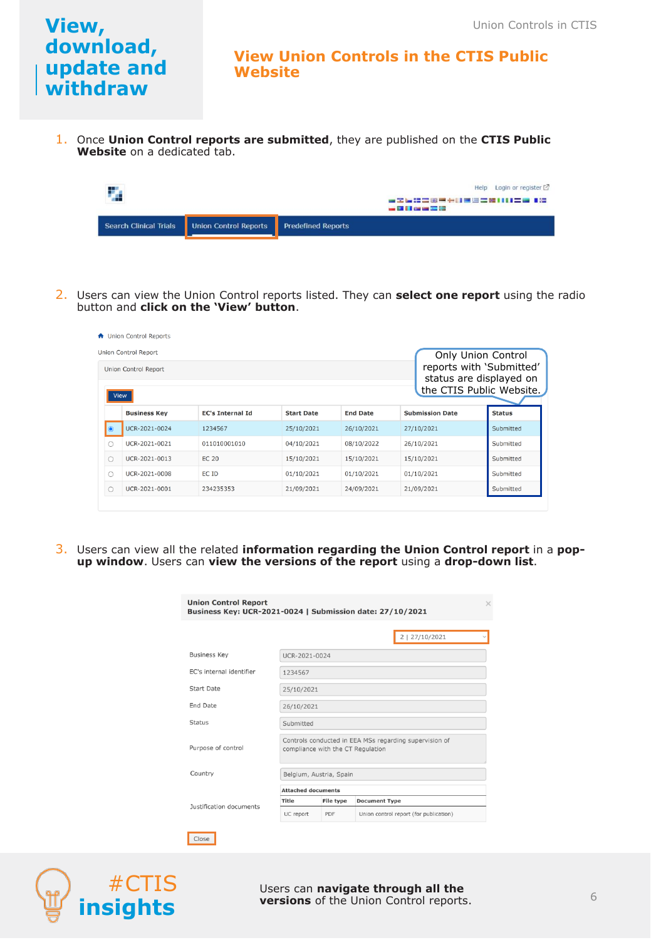#### **View Union Controls in the CTIS Public Website**

1. Once **Union Control reports are submitted**, they are published on the **CTIS Public Website** on a dedicated tab.

| ┶                             |                       | ■全長語言第三十日書写言語11日言言 1篇<br><b>Contract Contract Contract Contract Contract</b> | Help Login or register $[2]$ |
|-------------------------------|-----------------------|------------------------------------------------------------------------------|------------------------------|
| <b>Search Clinical Trials</b> | Union Control Reports | <b>Predefined Reports</b>                                                    |                              |

2. Users can view the Union Control reports listed. They can **select one report** using the radio button and **click on the 'View' button**.

|                                                                                                                        | <b>A</b> Union Control Reports<br>Union Control Report |                         |                   |                 |                        | Only Union Control |
|------------------------------------------------------------------------------------------------------------------------|--------------------------------------------------------|-------------------------|-------------------|-----------------|------------------------|--------------------|
| reports with 'Submitted'<br>Union Control Report<br>status are displayed on<br>the CTIS Public Website.<br><b>View</b> |                                                        |                         |                   |                 |                        |                    |
|                                                                                                                        | <b>Business Kev</b>                                    | <b>EC's Internal Id</b> | <b>Start Date</b> | <b>End Date</b> | <b>Submission Date</b> | <b>Status</b>      |
| $\bullet$                                                                                                              | UCR-2021-0024                                          | 1234567                 | 25/10/2021        | 26/10/2021      | 27/10/2021             | Submitted          |
| ∩                                                                                                                      | UCR-2021-0021                                          | 011010001010            | 04/10/2021        | 08/10/2022      | 26/10/2021             | Submitted          |
| $\bigcirc$                                                                                                             | UCR-2021-0013                                          | <b>EC 20</b>            | 15/10/2021        | 15/10/2021      | 15/10/2021             | Submitted          |
| Ω                                                                                                                      | UCR-2021-0008                                          | EC ID                   | 01/10/2021        | 01/10/2021      | 01/10/2021             | Submitted          |
| $\circ$                                                                                                                | UCR-2021-0001                                          | 234235353               | 21/09/2021        | 24/09/2021      | 21/09/2021             | Submitted          |

3. Users can view all the related **information regarding the Union Control report** in a **popup window**. Users can **view the versions of the report** using a **drop-down list**.

| <b>Union Control Report</b><br>Business Key: UCR-2021-0024   Submission date: 27/10/2021 |                           |                                                                                             |                                        |  |  |  |  |
|------------------------------------------------------------------------------------------|---------------------------|---------------------------------------------------------------------------------------------|----------------------------------------|--|--|--|--|
|                                                                                          |                           |                                                                                             | 2   27/10/2021                         |  |  |  |  |
| <b>Business Key</b>                                                                      |                           | UCR-2021-0024                                                                               |                                        |  |  |  |  |
| EC's internal identifier                                                                 | 1234567                   |                                                                                             |                                        |  |  |  |  |
| Start Date                                                                               | 25/10/2021                |                                                                                             |                                        |  |  |  |  |
| End Date                                                                                 | 26/10/2021                |                                                                                             |                                        |  |  |  |  |
| <b>Status</b>                                                                            | Submitted                 |                                                                                             |                                        |  |  |  |  |
| Purpose of control                                                                       |                           | Controls conducted in EEA MSs regarding supervision of<br>compliance with the CT Regulation |                                        |  |  |  |  |
| Country                                                                                  |                           | Belgium, Austria, Spain                                                                     |                                        |  |  |  |  |
|                                                                                          | <b>Attached documents</b> |                                                                                             |                                        |  |  |  |  |
| Justification documents                                                                  | Title                     | File type                                                                                   | <b>Document Type</b>                   |  |  |  |  |
|                                                                                          | UC report                 | PDF                                                                                         | Union control report (for publication) |  |  |  |  |

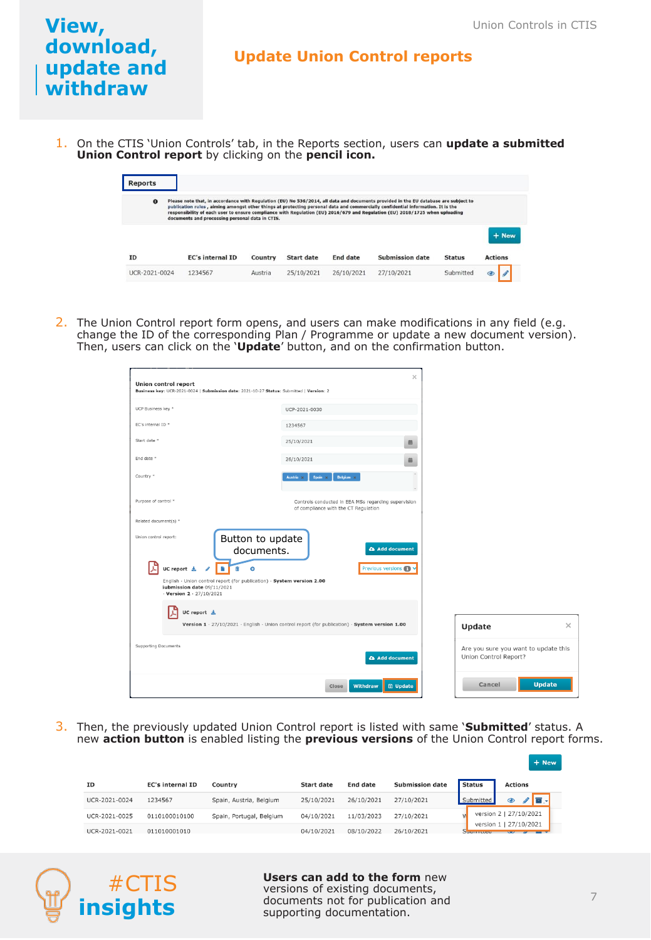#### **Update Union Control reports**

1. On the CTIS 'Union Controls' tab, in the Reports section, users can **update a submitted Union Control report** by clicking on the **pencil icon.**

| <b>Reports</b> |                                                                                                                                                                                                                                                                                                                                                                                                                                                          |         |            |                 |                        |               |                         |
|----------------|----------------------------------------------------------------------------------------------------------------------------------------------------------------------------------------------------------------------------------------------------------------------------------------------------------------------------------------------------------------------------------------------------------------------------------------------------------|---------|------------|-----------------|------------------------|---------------|-------------------------|
| $\bullet$      | Please note that, in accordance with Regulation (EU) No 536/2014, all data and documents provided in the EU database are subject to<br>publication rules, aiming amongst other things at protecting personal data and commercially confidential information. It is the<br>responsibility of each user to ensure compliance with Regulation (EU) 2016/679 and Regulation (EU) 2018/1725 when uploading<br>documents and processing personal data in CTIS. |         |            |                 |                        |               |                         |
| <b>TD</b>      | <b>EC's internal ID</b>                                                                                                                                                                                                                                                                                                                                                                                                                                  | Country | Start date | <b>End date</b> | <b>Submission date</b> | <b>Status</b> | + New<br><b>Actions</b> |
| UCR-2021-0024  | 1234567                                                                                                                                                                                                                                                                                                                                                                                                                                                  | Austria | 25/10/2021 | 26/10/2021      | 27/10/2021             | Submitted     |                         |

2. The Union Control report form opens, and users can make modifications in any field (e.g. change the ID of the corresponding Plan / Programme or update a new document version). Then, users can click on the '**Update**' button, and on the confirmation button.

| <b>Union control report</b><br>Business key: UCR-2021-0024   Submission date: 2021-10-27 Status: Submitted   Version: 2                                                                                                                                                                                        | $\times$                                                                                        |                       |                                      |
|----------------------------------------------------------------------------------------------------------------------------------------------------------------------------------------------------------------------------------------------------------------------------------------------------------------|-------------------------------------------------------------------------------------------------|-----------------------|--------------------------------------|
| UCP Business key *                                                                                                                                                                                                                                                                                             | UCP-2021-0030                                                                                   |                       |                                      |
| EC's internal ID *                                                                                                                                                                                                                                                                                             | 1234567                                                                                         |                       |                                      |
| Start date *                                                                                                                                                                                                                                                                                                   | 25/10/2021<br>繭                                                                                 |                       |                                      |
| End date *                                                                                                                                                                                                                                                                                                     | 26/10/2021<br>曲                                                                                 |                       |                                      |
| Country *                                                                                                                                                                                                                                                                                                      | Belgium x<br>Spain x<br>Austria :                                                               |                       |                                      |
| Purpose of control *                                                                                                                                                                                                                                                                                           | Controls conducted in EEA MSs regarding supervision<br>of compliance with the CT Regulation     |                       |                                      |
| Related document(s) *<br>Union control report:<br>Button to update<br>documents.<br>P.<br>UC report $\pm$<br>$\overline{\mathscr{L}}$<br>â<br>$\bullet$<br>English - Union control report (for publication) - System version 2.00<br>Submission date 09/11/2021<br>$-$ Version 2 $-$ 27/10/2021<br>UC report 소 | <b>&amp; Add document</b><br>Previous versions                                                  |                       |                                      |
|                                                                                                                                                                                                                                                                                                                | Version 1 · 27/10/2021 · English · Union control report (for publication) · System version 1.00 | Update                | $\times$                             |
| Supporting Documents                                                                                                                                                                                                                                                                                           | <b>Add document</b>                                                                             | Union Control Report? | Are you sure you want to update this |
|                                                                                                                                                                                                                                                                                                                | <b>Withdraw</b><br><b>图 Update</b><br>Close                                                     | Cancel                | <b>Update</b>                        |

3. Then, the previously updated Union Control report is listed with same '**Submitted**' status. A new **action button** is enabled listing the **previous versions** of the Union Control report forms.

| ID            | <b>EC's internal ID</b> | Country                  | <b>Start date</b> | <b>End date</b> | <b>Submission date</b> | <b>Status</b> | <b>Actions</b>         |
|---------------|-------------------------|--------------------------|-------------------|-----------------|------------------------|---------------|------------------------|
| UCR-2021-0024 | 1234567                 | Spain, Austria, Belgium  | 25/10/2021        | 26/10/2021      | 27/10/2021             | Submitted     | la .                   |
| UCR-2021-0025 | 0110100010100           | Spain, Portugal, Belgium | 04/10/2021        | 11/03/2023      | 27/10/2021             |               | version 2   27/10/2021 |
| UCR-2021-0021 | 011010001010            |                          | 04/10/2021        | 08/10/2022      | 26/10/2021             | version 1     | 27/10/2021             |



**Users can add to the form** new versions of existing documents, documents not for publication and supporting documentation.

 $+$  New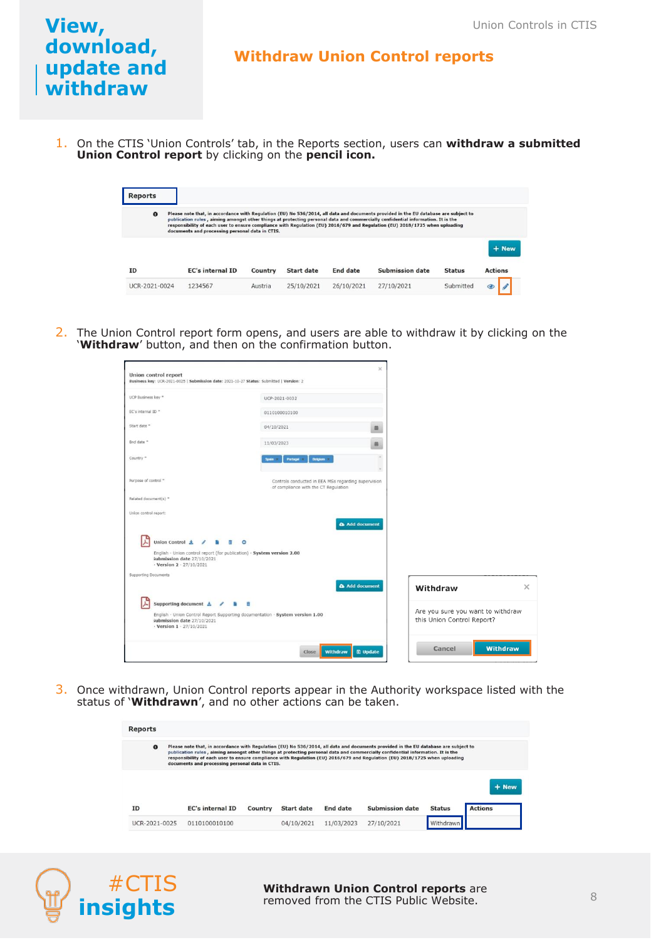#### **Withdraw Union Control reports**

1. On the CTIS 'Union Controls' tab, in the Reports section, users can **withdraw a submitted Union Control report** by clicking on the **pencil icon.**

| <b>Reports</b>                                                                                                                                                                                                                                                                                                                                                                                                                                                        |                         |         |                   |                 |                        |               |                |  |
|-----------------------------------------------------------------------------------------------------------------------------------------------------------------------------------------------------------------------------------------------------------------------------------------------------------------------------------------------------------------------------------------------------------------------------------------------------------------------|-------------------------|---------|-------------------|-----------------|------------------------|---------------|----------------|--|
| Please note that, in accordance with Regulation (EU) No 536/2014, all data and documents provided in the EU database are subject to<br>$\bullet$<br>publication rules, aiming amongst other things at protecting personal data and commercially confidential information. It is the<br>responsibility of each user to ensure compliance with Regulation (EU) 2016/679 and Regulation (EU) 2018/1725 when uploading<br>documents and processing personal data in CTIS. |                         |         |                   |                 |                        |               |                |  |
|                                                                                                                                                                                                                                                                                                                                                                                                                                                                       |                         |         |                   |                 |                        |               | + New          |  |
| <b>TD</b>                                                                                                                                                                                                                                                                                                                                                                                                                                                             | <b>EC's internal ID</b> | Country | <b>Start date</b> | <b>End date</b> | <b>Submission date</b> | <b>Status</b> | <b>Actions</b> |  |
| UCR-2021-0024                                                                                                                                                                                                                                                                                                                                                                                                                                                         | 1234567                 | Austria | 25/10/2021        | 26/10/2021      | 27/10/2021             | Submitted     | $\circledcirc$ |  |

2. The Union Control report form opens, and users are able to withdraw it by clicking on the '**Withdraw**' button, and then on the confirmation button.

|                                                                                            | Business key: UCR-2021-0025   Submission date: 2021-10-27 Status: Submitted   Version: 2    |                                                                 |          |
|--------------------------------------------------------------------------------------------|---------------------------------------------------------------------------------------------|-----------------------------------------------------------------|----------|
| UCP Business key *                                                                         | UCP-2021-0032                                                                               |                                                                 |          |
| EC's internal ID **                                                                        | 0110100010100                                                                               |                                                                 |          |
| Start date =                                                                               | 04/10/2021                                                                                  | 筋                                                               |          |
| End date "                                                                                 | 11/03/2023                                                                                  | 商                                                               |          |
| Country **                                                                                 | <b>Delgam 3</b><br>Portugal<br>Spain 1                                                      | $\sim$                                                          |          |
| Purpose of control "                                                                       | Controls conducted in EEA MSs regarding supervision<br>of compliance with the CT Regulation |                                                                 |          |
| Related document(s) *                                                                      |                                                                                             |                                                                 |          |
| Union control report:                                                                      |                                                                                             |                                                                 |          |
|                                                                                            |                                                                                             | Add document                                                    |          |
|                                                                                            |                                                                                             |                                                                 |          |
| Union Control ±                                                                            | $\bullet$                                                                                   |                                                                 |          |
| submission date 27/10/2021<br>$\cdot$ Version 2 $\cdot$ 27/10/2021                         | English - Union control report (for publication) - System version 2.00                      |                                                                 |          |
|                                                                                            |                                                                                             |                                                                 |          |
|                                                                                            |                                                                                             | Add document<br>Withdraw                                        |          |
| Supporting document <b>土</b> / 自 面                                                         |                                                                                             |                                                                 |          |
| Supporting Documents<br>submission date 27/10/2021<br>$\cdot$ Version 1 $\cdot$ 27/10/2021 | English - Union Control Report Supporting documentation · System version 1.00               | Are you sure you want to withdraw<br>this Union Control Report? | $\times$ |

3. Once withdrawn, Union Control reports appear in the Authority workspace listed with the status of '**Withdrawn**', and no other actions can be taken.

| <b>Reports</b> |                                                                                                                                                                                                                                                                                                                                                                                                                                                          |         |                   |                 |                 |               |                |
|----------------|----------------------------------------------------------------------------------------------------------------------------------------------------------------------------------------------------------------------------------------------------------------------------------------------------------------------------------------------------------------------------------------------------------------------------------------------------------|---------|-------------------|-----------------|-----------------|---------------|----------------|
| $\bullet$      | Please note that, in accordance with Regulation (EU) No 536/2014, all data and documents provided in the EU database are subject to<br>publication rules, aiming amongst other things at protecting personal data and commercially confidential information. It is the<br>responsibility of each user to ensure compliance with Regulation (EU) 2016/679 and Regulation (EU) 2018/1725 when uploading<br>documents and processing personal data in CTIS. |         |                   |                 |                 |               |                |
|                |                                                                                                                                                                                                                                                                                                                                                                                                                                                          |         |                   |                 |                 |               | + New          |
| <b>TD</b>      | <b>EC's internal ID</b>                                                                                                                                                                                                                                                                                                                                                                                                                                  | Country | <b>Start date</b> | <b>End date</b> | Submission date | <b>Status</b> | <b>Actions</b> |
| UCR-2021-0025  | 0110100010100                                                                                                                                                                                                                                                                                                                                                                                                                                            |         | 04/10/2021        | 11/03/2023      | 27/10/2021      | Withdrawn     |                |